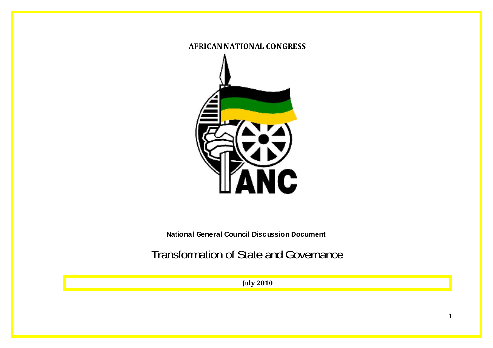# **AFRICAN NATIONAL CONGRESS**



**National General Council Discussion Document** 

Transformation of State and Governance

**July 2010**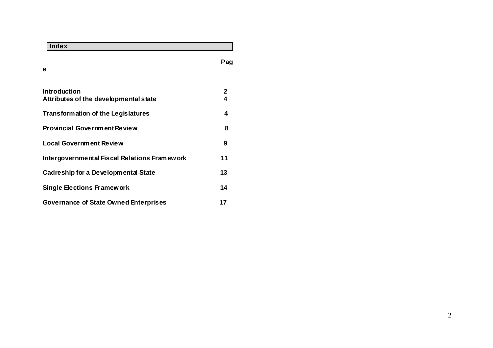| <b>Index</b>                                          |                   |
|-------------------------------------------------------|-------------------|
| e                                                     | Pag               |
| Introduction<br>Attributes of the developmental state | $\mathbf{2}$<br>4 |
| Transformation of the Legislatures                    | 4                 |
| <b>Provincial Government Review</b>                   | 8                 |
| Local Government Review                               | 9                 |
| Intergovernmental Fiscal Relations Framework          | 11                |
| Cadreship for a Developmental State                   | 13                |
| <b>Single Elections Framework</b>                     | 14                |
| <b>Governance of State Owned Enterprises</b>          | 17                |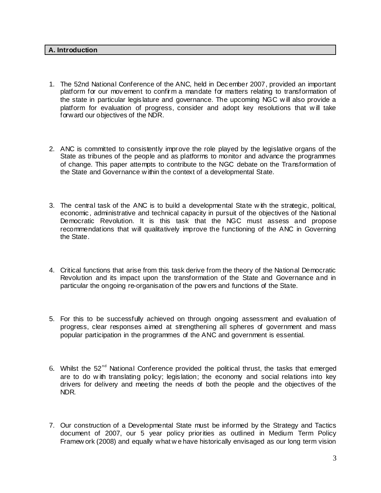# **A. Introduction**

- 1. The 52nd National Conference of the ANC, held in December 2007, provided an important platform for our movement to confirm a mandate for matters relating to transformation of the state in particular legislature and governance. The upcoming NGC w ill also provide a platform for evaluation of progress, consider and adopt key resolutions that w ill take forward our objectives of the NDR.
- 2. ANC is committed to consistently improve the role played by the legislative organs of the State as tribunes of the people and as platforms to monitor and advance the programmes of change. This paper attempts to contribute to the NGC debate on the Transformation of the State and Governance w ithin the context of a developmental State.
- 3. The central task of the ANC is to build a developmental State w ith the strategic, political, economic, administrative and technical capacity in pursuit of the objectives of the National Democratic Revolution. It is this task that the NGC must assess and propose recommendations that will qualitatively improve the functioning of the ANC in Governing the State.
- 4. Critical functions that arise from this task derive from the theory of the National Democratic Revolution and its impact upon the transformation of the State and Governance and in particular the ongoing re-organisation of the pow ers and functions of the State.
- 5. For this to be successfully achieved on through ongoing assessment and evaluation of progress, clear responses aimed at strengthening all spheres of government and mass popular participation in the programmes of the ANC and government is essential.
- 6. Whilst the  $52<sup>nd</sup>$  National Conference provided the political thrust, the tasks that emerged are to do w ith translating policy; legislation; the economy and social relations into key drivers for delivery and meeting the needs of both the people and the objectives of the NDR.
- 7. Our construction of a Developmental State must be informed by the Strategy and Tactics document of 2007, our 5 year policy priorities as outlined in Medium Term Policy Framew ork (2008) and equally what w e have historically envisaged as our long term vision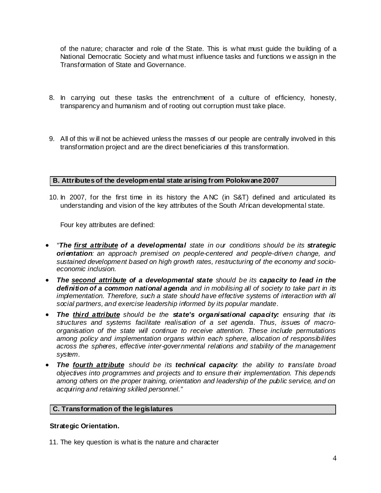of the nature; character and role of the State. This is what must guide the building of a National Democratic Society and what must influence tasks and functions w e assign in the Transformation of State and Governance.

- 8. In carrying out these tasks the entrenchment of a culture of efficiency, honesty, transparency and humanism and of rooting out corruption must take place.
- 9. All of this w ill not be achieved unless the masses of our people are centrally involved in this transformation project and are the direct beneficiaries of this transformation.

# **B. Attributes of the developmental state arising from Polokwane 2007**

10. In 2007, for the first time in its history the A NC (in S&T) defined and articulated its understanding and vision of the key attributes of the South African developmental state.

Four key attributes are defined:

- *"The first attribute of a developmental state in our conditions should be its strategic orientation: an approach premised on people-centered and people-driven change, and sustained development based on high growth rates, restructuring of the economy and socioeconomic inclusion.*
- *The second attribute of a developmental state should be its capacity to lead in the definition of a common national agenda and in mobilising all of society to take part in its implementation. Therefore, such a state should have effective systems of interaction with all social partners, and exercise leadership informed by its popular mandate.*
- *The third attribute should be the state's organisational capacity: ensuring that its structures and systems facilitate realisation of a set agenda. Thus, issues of macroorganisation of the state will continue to receive attention. These include permutations among policy and implementation organs within each sphere, allocation of responsibilities across the spheres, effective inter-governmental relations and stability of the management system.*
- *The fourth attribute should be its technical capacity: the ability to translate broad objectives into programmes and projects and to ensure their implementation. This depends among others on the proper training, orientation and leadership of the public service, and on acquiring and retaining skilled personnel."*

# **C. Transformation of the legislatures**

#### **Strategic Orientation.**

11. The key question is what is the nature and character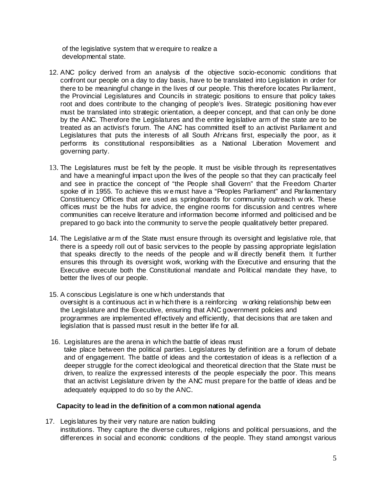of the legislative system that w e require to realize a developmental state.

- 12. ANC policy derived from an analysis of the objective socio-economic conditions that confront our people on a day to day basis, have to be translated into Legislation in order for there to be meaningful change in the lives of our people. This therefore locates Parliament, the Provincial Legislatures and Councils in strategic positions to ensure that policy takes root and does contribute to the changing of people's lives. Strategic positioning how ever must be translated into strategic orientation, a deeper concept, and that can only be done by the ANC. Therefore the Legislatures and the entire legislative arm of the state are to be treated as an activist's forum. The ANC has committed itself to an activist Parliament and Legislatures that puts the interests of all South Africans first, especially the poor, as it performs its constitutional responsibilities as a National Liberation Movement and governing party.
- 13. The Legislatures must be felt by the people. It must be visible through its representatives and have a meaningful impact upon the lives of the people so that they can practically feel and see in practice the concept of "the People shall Govern" that the Freedom Charter spoke of in 1955. To achieve this w e must have a "Peoples Parliament" and Parliamentary Constituency Offices that are used as springboards for community outreach w ork. These offices must be the hubs for advice, the engine rooms for discussion and centres where communities can receive literature and information become informed and politicised and be prepared to go back into the community to serve the people qualitatively better prepared.
- 14. The Legislative arm of the State must ensure through its oversight and legislative role, that there is a speedy roll out of basic services to the people by passing appropriate legislation that speaks directly to the needs of the people and w ill directly benefit them. It further ensures this through its oversight work, working with the Executive and ensuring that the Executive execute both the Constitutional mandate and Political mandate they have, to better the lives of our people.
- 15. A conscious Legislature is one w hich understands that oversight is a continuous act in w hich there is a reinforcing w orking relationship betw een the Legislature and the Executive, ensuring that ANC government policies and programmes are implemented effectively and efficiently, that decisions that are taken and legislation that is passed must result in the better life for all.
- 16. Legislatures are the arena in which the battle of ideas must take place between the political parties. Legislatures by definition are a forum of debate and of engagement. The battle of ideas and the contestation of ideas is a reflection of a deeper struggle for the correct ideological and theoretical direction that the State must be driven, to realize the expressed interests of the people especially the poor. This means that an activist Legislature driven by the ANC must prepare for the battle of ideas and be adequately equipped to do so by the ANC.

# **Capacity to lead in the definition of a common national agenda**

17. Legislatures by their very nature are nation building institutions. They capture the diverse cultures, religions and political persuasions, and the differences in social and economic conditions of the people. They stand amongst various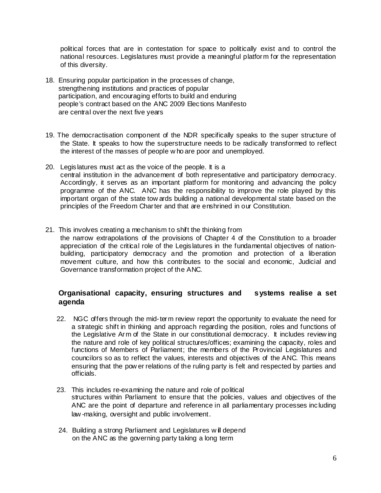political forces that are in contestation for space to politically exist and to control the national resources. Legislatures must provide a meaningful platform for the representation of this diversity.

- 18. Ensuring popular participation in the processes of change, strengthening institutions and practices of popular participation, and encouraging efforts to build and enduring people's contract based on the ANC 2009 Elections Manifesto are central over the next five years
- 19. The democractisation component of the NDR specifically speaks to the super structure of the State. It speaks to how the superstructure needs to be radically transformed to reflect the interest of the masses of people w ho are poor and unemployed.
- 20. Legislatures must act as the voice of the people. It is a central institution in the advancement of both representative and participatory democracy. Accordingly, it serves as an important platform for monitoring and advancing the policy programme of the ANC. ANC has the responsibility to improve the role played by this important organ of the state tow ards building a national developmental state based on the principles of the Freedom Charter and that are enshrined in our Constitution.
- 21. This involves creating a mechanism to shift the thinking from the narrow extrapolations of the provisions of Chapter 4 of the Constitution to a broader appreciation of the critical role of the Legislatures in the fundamental objectives of nationbuilding, participatory democracy and the promotion and protection of a liberation movement culture, and how this contributes to the social and economic, Judicial and Governance transformation project of the ANC.

# **Organisational capacity, ensuring structures and systems realise a set agenda**

- 22. NGC offers through the mid-term review report the opportunity to evaluate the need for a strategic shift in thinking and approach regarding the position, roles and functions of the Legislative Arm of the State in our constitutional democracy. It includes review ing the nature and role of key political structures/offices; examining the capacity, roles and functions of Members of Parliament; the members of the Provincial Legislatures and councilors so as to reflect the values, interests and objectives of the ANC. This means ensuring that the pow er relations of the ruling party is felt and respected by parties and officials.
- 23. This includes re-examining the nature and role of political structures within Parliament to ensure that the policies, values and objectives of the ANC are the point of departure and reference in all parliamentary processes including law -making, oversight and public involvement.
- 24. Building a strong Parliament and Legislatures w ill depend on the ANC as the governing party taking a long term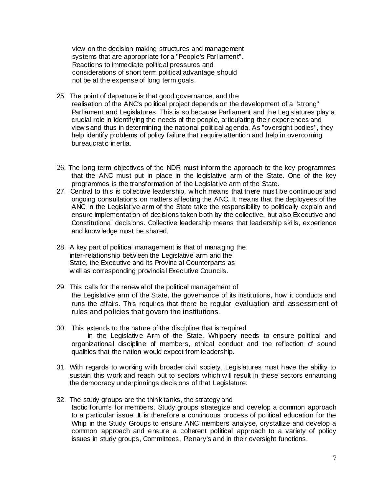view on the decision making structures and management systems that are appropriate for a "People's Parliament". Reactions to immediate political pressures and considerations of short term political advantage should not be at the expense of long term goals.

- 25. The point of departure is that good governance, and the realisation of the ANC's political project depends on the development of a "strong" Parliament and Legislatures. This is so because Parliament and the Legislatures play a crucial role in identifying the needs of the people, articulating their experiences and view s and thus in determining the national political agenda. As "oversight bodies", they help identify problems of policy failure that require attention and help in overcoming bureaucratic inertia.
- 26. The long term objectives of the NDR must inform the approach to the key programmes that the ANC must put in place in the legislative arm of the State. One of the key programmes is the transformation of the Legislative arm of the State.
- 27. Central to this is collective leadership, w hich means that there must be continuous and ongoing consultations on matters affecting the ANC. It means that the deployees of the ANC in the Legislative arm of the State take the responsibility to politically explain and ensure implementation of decisions taken both by the collective, but also Executive and Constitutional decisions. Collective leadership means that leadership skills, experience and know ledge must be shared.
- 28. A key part of political management is that of managing the inter-relationship betw een the Legislative arm and the State, the Executive and its Provincial Counterparts as w ell as corresponding provincial Executive Councils.
- 29. This calls for the renew al of the political management of the Legislative arm of the State, the governance of its institutions, how it conducts and runs the affairs. This requires that there be regular evaluation and assessment of rules and policies that govern the institutions.
- 30. This extends to the nature of the discipline that is required in the Legislative Arm of the State. Whippery needs to ensure political and organizational discipline of members, ethical conduct and the reflection of sound qualities that the nation would expect from leadership.
- 31. With regards to working w ith broader civil society, Legislatures must have the ability to sustain this work and reach out to sectors which will result in these sectors enhancing the democracy underpinnings decisions of that Legislature.
- 32. The study groups are the think tanks, the strategy and tactic forum's for members. Study groups strategize and develop a common approach to a particular issue. It is therefore a continuous process of political education for the Whip in the Study Groups to ensure ANC members analyse, crystallize and develop a common approach and ensure a coherent political approach to a variety of policy issues in study groups, Committees, Plenary's and in their oversight functions.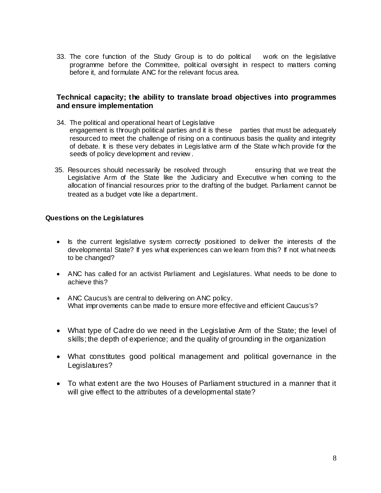33. The core function of the Study Group is to do political work on the legislative programme before the Committee, political oversight in respect to matters coming before it, and formulate ANC for the relevant focus area.

# **Technical capacity; the ability to translate broad objectives into programmes and ensure implementation**

- 34. The political and operational heart of Legislative engagement is through political parties and it is these parties that must be adequately resourced to meet the challenge of rising on a continuous basis the quality and integrity of debate. It is these very debates in Legislative arm of the State w hich provide for the seeds of policy development and review .
- 35. Resources should necessarily be resolved through ensuring that we treat the Legislative Arm of the State like the Judiciary and Executive when coming to the allocation of financial resources prior to the drafting of the budget. Parliament cannot be treated as a budget vote like a department.

#### **Questions on the Legislatures**

- Is the current legislative system correctly positioned to deliver the interests of the developmental State? If yes what experiences can we learn from this? If not what needs to be changed?
- ANC has called for an activist Parliament and Legislatures. What needs to be done to achieve this?
- ANC Caucus's are central to delivering on ANC policy. What improvements can be made to ensure more effective and efficient Caucus's?
- What type of Cadre do we need in the Legislative Arm of the State; the level of skills; the depth of experience; and the quality of grounding in the organization
- What constitutes good political management and political governance in the Legislatures?
- To what extent are the two Houses of Parliament structured in a manner that it will give effect to the attributes of a developmental state?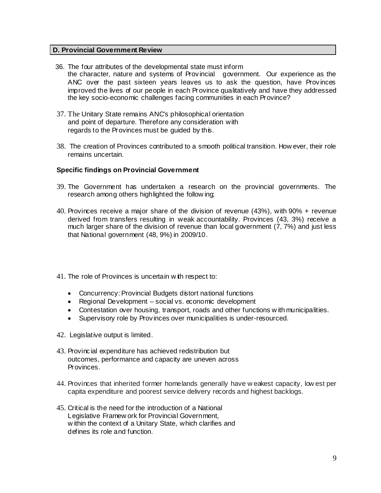#### **D. Provincial Government Review**

- 36. The four attributes of the developmental state must inform the character, nature and systems of Provincial government. Our experience as the ANC over the past sixteen years leaves us to ask the question, have Provinces improved the lives of our people in each Province qualitatively and have they addressed the key socio-economic challenges facing communities in each Province?
- 37. The Unitary State remains ANC's philosophical orientation and point of departure. Therefore any consideration with regards to the Provinces must be guided by this.
- 38. The creation of Provinces contributed to a smooth political transition. How ever, their role remains uncertain.

# **Specific findings on Provincial Government**

- 39. The Government has undertaken a research on the provincial governments. The research among others highlighted the follow ing;
- 40. Provinces receive a major share of the division of revenue (43%), with 90% + revenue derived from transfers resulting in weak accountability. Provinces (43, 3%) receive a much larger share of the division of revenue than local government (7, 7%) and just less that National government (48, 9%) in 2009/10.
- 41. The role of Provinces is uncertain w ith respect to:
	- Concurrency: Provincial Budgets distort national functions
	- Regional Development social vs. economic development
	- Contestation over housing, transport, roads and other functions w ith municipalities.
	- Supervisory role by Provinces over municipalities is under-resourced.
- 42. Legislative output is limited.
- 43. Provincial expenditure has achieved redistribution but outcomes, performance and capacity are uneven across Provinces.
- 44. Provinces that inherited former homelands generally have w eakest capacity, low est per capita expenditure and poorest service delivery records and highest backlogs.
- 45. Critical is the need for the introduction of a National Legislative Framew ork for Provincial Government, w ithin the context of a Unitary State, which clarifies and defines its role and function.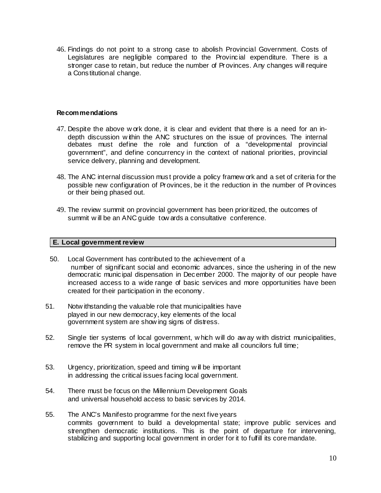46. Findings do not point to a strong case to abolish Provincial Government. Costs of Legislatures are negligible compared to the Provincial expenditure. There is a stronger case to retain, but reduce the number of Provinces. Any changes will require a Constitutional change.

#### **Recommendations**

- 47. Despite the above w ork done, it is clear and evident that there is a need for an indepth discussion w ithin the ANC structures on the issue of provinces. The internal debates must define the role and function of a "developmental provincial government", and define concurrency in the context of national priorities, provincial service delivery, planning and development.
- 48. The ANC internal discussion must provide a policy framew ork and a set of criteria for the possible new configuration of Provinces, be it the reduction in the number of Provinces or their being phased out.
- 49. The review summit on provincial government has been prioritized, the outcomes of summit w ill be an ANC guide tow ards a consultative conference.

#### **E. Local government review**

- 50. Local Government has contributed to the achievement of a number of significant social and economic advances, since the ushering in of the new democratic municipal dispensation in December 2000. The majority of our people have increased access to a wide range of basic services and more opportunities have been created for their participation in the economy.
- 51. Notw ithstanding the valuable role that municipalities have played in our new democracy, key elements of the local government system are show ing signs of distress.
- 52. Single tier systems of local government, w hich will do aw ay with district municipalities, remove the PR system in local government and make all councilors full time;
- 53. Urgency, prioritization, speed and timing w ill be important in addressing the critical issues facing local government.
- 54. There must be focus on the Millennium Development Goals and universal household access to basic services by 2014.
- 55. The ANC's Manifesto programme for the next five years commits government to build a developmental state; improve public services and strengthen democratic institutions. This is the point of departure for intervening, stabilizing and supporting local government in order for it to fulfill its core mandate.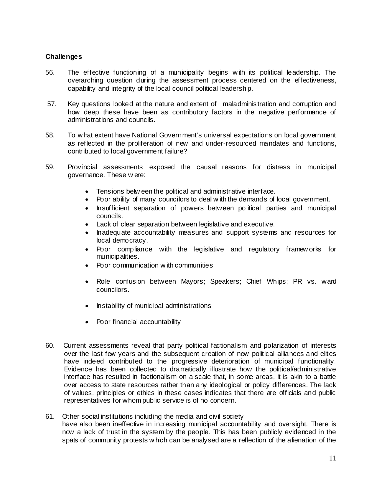# **Challenges**

- 56. The effective functioning of a municipality begins w ith its political leadership. The overarching question during the assessment process centered on the effectiveness, capability and integrity of the local council political leadership.
- 57. Key questions looked at the nature and extent of maladministration and corruption and how deep these have been as contributory factors in the negative performance of administrations and councils.
- 58. To w hat extent have National Government's universal expectations on local government as reflected in the proliferation of new and under-resourced mandates and functions, contributed to local government failure?
- 59. Provincial assessments exposed the causal reasons for distress in municipal governance. These w ere:
	- Tensions betw een the political and administrative interface.
	- Poor ability of many councilors to deal w ith the demands of local government.
	- Insufficient separation of powers between political parties and municipal councils.
	- Lack of clear separation between legislative and executive.
	- Inadequate accountability measures and support systems and resources for local democracy.
	- Poor compliance with the legislative and regulatory framew orks for municipalities.
	- Poor communication w ith communities
	- Role confusion between Mayors; Speakers; Chief Whips; PR vs. ward councilors.
	- Instability of municipal administrations
	- Poor financial accountability
- 60. Current assessments reveal that party political factionalism and polarization of interests over the last few years and the subsequent creation of new political alliances and elites have indeed contributed to the progressive deterioration of municipal functionality. Evidence has been collected to dramatically illustrate how the political/administrative interface has resulted in factionalism on a scale that, in some areas, it is akin to a battle over access to state resources rather than any ideological or policy differences. The lack of values, principles or ethics in these cases indicates that there are officials and public representatives for whom public service is of no concern.
- 61. Other social institutions including the media and civil society have also been ineffective in increasing municipal accountability and oversight. There is now a lack of trust in the system by the people. This has been publicly evidenced in the spats of community protests w hich can be analysed are a reflection of the alienation of the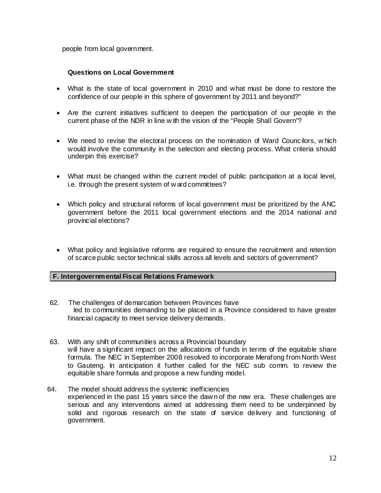people from local government.

# **Questions on Local Government**

- What is the state of local government in 2010 and what must be done to restore the confidence of our people in this sphere of government by 2011 and beyond?"
- Are the current initiatives sufficient to deepen the participation of our people in the current phase of the NDR in line w ith the vision of the "People Shall Govern"?
- We need to revise the electoral process on the nomination of Ward Councilors, w hich would involve the community in the selection and electing process. What criteria should underpin this exercise?
- What must be changed within the current model of public participation at a local level, i.e. through the present system of w ard committees?
- Which policy and structural reforms of local government must be prioritized by the ANC government before the 2011 local government elections and the 2014 national and provincial elections?
- What policy and legislative reforms are required to ensure the recruitment and retention of scarce public sector technical skills across all levels and sectors of government?

# **F. Intergovernmental Fiscal Relations Framework**

- 62. The challenges of demarcation between Provinces have led to communities demanding to be placed in a Province considered to have greater financial capacity to meet service delivery demands.
- 63. With any shift of communities across a Provincial boundary will have a significant impact on the allocations of funds in terms of the equitable share formula. The NEC in September 2008 resolved to incorporate Merafong from North West to Gauteng. In anticipation it further called for the NEC sub comm. to review the equitable share formula and propose a new funding model.
- 64. The model should address the systemic inefficiencies experienced in the past 15 years since the daw n of the new era. These challenges are serious and any interventions aimed at addressing them need to be underpinned by solid and rigorous research on the state of service delivery and functioning of government.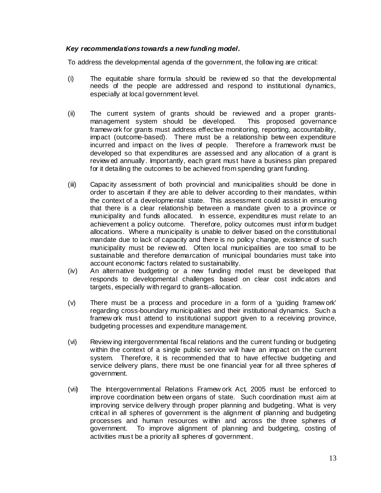#### *Key recommendations towards a new funding model.*

To address the developmental agenda of the government, the follow ing are critical:

- (i) The equitable share formula should be review ed so that the developmental needs of the people are addressed and respond to institutional dynamics, especially at local government level.
- (ii) The current system of grants should be reviewed and a proper grantsmanagement system should be developed. This proposed governance framew ork for grants must address effective monitoring, reporting, accountability, impact (outcome-based). There must be a relationship betw een expenditure incurred and impact on the lives of people. Therefore a framework must be developed so that expenditures are assessed and any allocation of a grant is review ed annually. Importantly, each grant must have a business plan prepared for it detailing the outcomes to be achieved from spending grant funding.
- (iii) Capacity assessment of both provincial and municipalities should be done in order to ascertain if they are able to deliver according to their mandates, within the context of a developmental state. This assessment could assist in ensuring that there is a clear relationship between a mandate given to a province or municipality and funds allocated. In essence, expenditures must relate to an achievement a policy outcome. Therefore, policy outcomes must inform budget allocations. Where a municipality is unable to deliver based on the constitutional mandate due to lack of capacity and there is no policy change, existence of such municipality must be review ed. Often local municipalities are too small to be sustainable and therefore demarcation of municipal boundaries must take into account economic factors related to sustainability.
- (iv) An alternative budgeting or a new funding model must be developed that responds to developmental challenges based on clear cost indicators and targets, especially with regard to grants-allocation.
- (v) There must be a process and procedure in a form of a 'guiding framew ork' regarding cross-boundary municipalities and their institutional dynamics. Such a framew ork must attend to institutional support given to a receiving province, budgeting processes and expenditure management.
- (vi) Review ing intergovernmental fiscal relations and the current funding or budgeting within the context of a single public service will have an impact on the current system. Therefore, it is recommended that to have effective budgeting and service delivery plans, there must be one financial year for all three spheres of government.
- (vii) The Intergovernmental Relations Framew ork Act, 2005 must be enforced to improve coordination betw een organs of state. Such coordination must aim at improving service delivery through proper planning and budgeting. What is very critical in all spheres of government is the alignment of planning and budgeting processes and human resources w ithin and across the three spheres of government. To improve alignment of planning and budgeting, costing of activities must be a priority all spheres of government.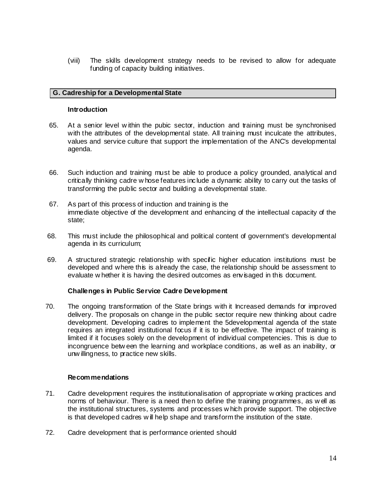(viii) The skills development strategy needs to be revised to allow for adequate funding of capacity building initiatives.

# **G. Cadreship for a Developmental State**

#### **Introduction**

- 65. At a senior level w ithin the pubic sector, induction and training must be synchronised with the attributes of the developmental state. All training must inculcate the attributes, values and service culture that support the implementation of the ANC's developmental agenda.
- 66. Such induction and training must be able to produce a policy grounded, analytical and critically thinking cadre w hose features include a dynamic ability to carry out the tasks of transforming the public sector and building a developmental state.
- 67. As part of this process of induction and training is the immediate objective of the development and enhancing of the intellectual capacity of the state;
- 68. This must include the philosophical and political content of government's developmental agenda in its curriculum;
- 69. A structured strategic relationship with specific higher education institutions must be developed and where this is already the case, the relationship should be assessment to evaluate w hether it is having the desired outcomes as envisaged in this document.

#### **Challenges in Public Service Cadre Development**

70. The ongoing transformation of the State brings with it Increased demands for improved delivery. The proposals on change in the public sector require new thinking about cadre development. Developing cadres to implement the 5developmental agenda of the state requires an integrated institutional focus if it is to be effective. The impact of training is limited if it focuses solely on the development of individual competencies. This is due to incongruence betw een the learning and workplace conditions, as well as an inability, or unw illingness, to practice new skills.

#### **Recommendations**

- 71. Cadre development requires the institutionalisation of appropriate w orking practices and norms of behaviour. There is a need then to define the training programmes, as w ell as the institutional structures, systems and processes w hich provide support. The objective is that developed cadres w ill help shape and transform the institution of the state.
- 72. Cadre development that is performance oriented should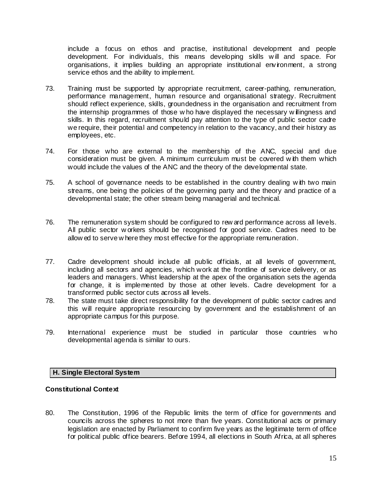include a focus on ethos and practise, institutional development and people development. For individuals, this means developing skills w ill and space. For organisations, it implies building an appropriate institutional environment, a strong service ethos and the ability to implement.

- 73. Training must be supported by appropriate recruitment, career-pathing, remuneration, performance management, human resource and organisational strategy. Recruitment should reflect experience, skills, groundedness in the organisation and recruitment from the internship programmes of those w ho have displayed the necessary w illingness and skills. In this regard, recruitment should pay attention to the type of public sector cadre we require, their potential and competency in relation to the vacancy, and their history as employees, etc.
- 74. For those who are external to the membership of the ANC, special and due consideration must be given. A minimum curriculum must be covered w ith them which would include the values of the ANC and the theory of the developmental state.
- 75. A school of governance needs to be established in the country dealing w ith two main streams, one being the policies of the governing party and the theory and practice of a developmental state; the other stream being managerial and technical.
- 76. The remuneration system should be configured to rew ard performance across all levels. All public sector w orkers should be recognised for good service. Cadres need to be allow ed to serve w here they most effective for the appropriate remuneration.
- 77. Cadre development should include all public officials, at all levels of government, including all sectors and agencies, which work at the frontline of service delivery, or as leaders and managers. Whist leadership at the apex of the organisation sets the agenda for change, it is implemented by those at other levels. Cadre development for a transformed public sector cuts across all levels.
- 78. The state must take direct responsibility for the development of public sector cadres and this will require appropriate resourcing by government and the establishment of an appropriate campus for this purpose.
- 79. International experience must be studied in particular those countries w ho developmental agenda is similar to ours.

# **H. Single Electoral System**

# **Constitutional Context**

80. The Constitution, 1996 of the Republic limits the term of office for governments and councils across the spheres to not more than five years. Constitutional acts or primary legislation are enacted by Parliament to confirm five years as the legitimate term of office for political public office bearers. Before 1994, all elections in South Africa, at all spheres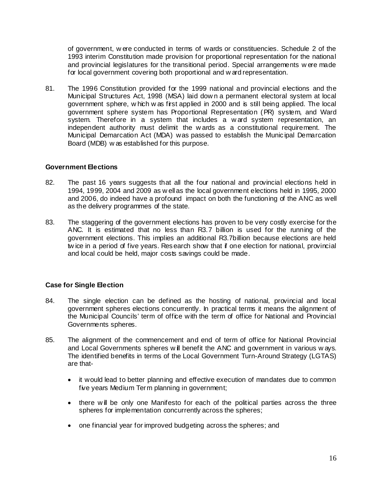of government, w ere conducted in terms of wards or constituencies. Schedule 2 of the 1993 interim Constitution made provision for proportional representation for the national and provincial legislatures for the transitional period. Special arrangements w ere made for local government covering both proportional and w ard representation.

81. The 1996 Constitution provided for the 1999 national and provincial elections and the Municipal Structures Act, 1998 (MSA) laid dow n a permanent electoral system at local government sphere, w hich w as first applied in 2000 and is still being applied. The local government sphere system has Proportional Representation (PR) system, and Ward system. Therefore in a system that includes a w ard system representation, an independent authority must delimit the w ards as a constitutional requirement. The Municipal Demarcation Act (MDA) was passed to establish the Municipal Demarcation Board (MDB) w as established for this purpose.

#### **Government Elections**

- 82. The past 16 years suggests that all the four national and provincial elections held in 1994, 1999, 2004 and 2009 as w ell as the local government elections held in 1995, 2000 and 2006, do indeed have a profound impact on both the functioning of the ANC as well as the delivery programmes of the state.
- 83. The staggering of the government elections has proven to be very costly exercise for the ANC. It is estimated that no less than R3.7 billion is used for the running of the government elections. This implies an additional R3.7billion because elections are held tw ice in a period of five years. Research show that if one election for national, provincial and local could be held, major costs savings could be made.

# **Case for Single Election**

- 84. The single election can be defined as the hosting of national, provincial and local government spheres elections concurrently. In practical terms it means the alignment of the Municipal Councils' term of office with the term of office for National and Provincial Governments spheres.
- 85. The alignment of the commencement and end of term of office for National Provincial and Local Governments spheres w ill benefit the ANC and government in various w ays. The identified benefits in terms of the Local Government Turn-Around Strategy (LGTAS) are that-
	- it would lead to better planning and effective execution of mandates due to common five years Medium Term planning in government;
	- there will be only one Manifesto for each of the political parties across the three spheres for implementation concurrently across the spheres;
	- one financial year for improved budgeting across the spheres; and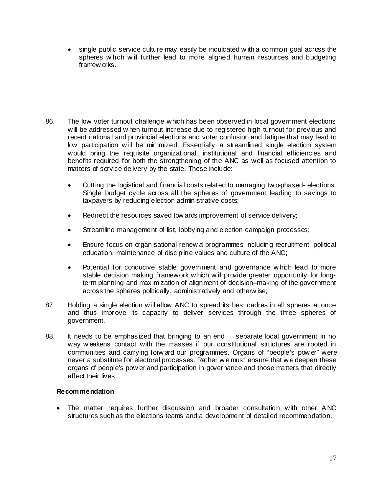- single public service culture may easily be inculcated w ith a common goal across the spheres w hich will further lead to more aligned human resources and budgeting framew orks.
- 86. The low voter turnout challenge which has been observed in local government elections will be addressed w hen turnout increase due to registered high turnout for previous and recent national and provincial elections and voter confusion and fatigue that may lead to low participation w ill be minimized. Essentially a streamlined single election system would bring the requisite organizational, institutional and financial efficiencies and benefits required for both the strengthening of the ANC as well as focused attention to matters of service delivery by the state. These include:
	- Cutting the logistical and financial costs related to managing tw o-phased-elections. Single budget cycle across all the spheres of government leading to savings to taxpayers by reducing election administrative costs;
	- Redirect the resources saved tow ards improvement of service delivery;
	- Streamline management of list, lobbying and election campaign processes;
	- Ensure focus on organisational renew al programmes including recruitment, political education, maintenance of discipline values and culture of the ANC;
	- Potential for conducive stable government and governance which lead to more stable decision making framework w hich w ill provide greater opportunity for longterm planning and maximization of alignment of decision–making of the government across the spheres politically, administratively and otherw ise;
- 87. Holding a single election w ill allow ANC to spread its best cadres in all spheres at once and thus improve its capacity to deliver services through the three spheres of government.
- 88. It needs to be emphasized that bringing to an end separate local government in no way w eakens contact with the masses if our constitutional structures are rooted in communities and carrying forw ard our programmes. Organs of "people's pow er" were never a substitute for electoral processes. Rather w e must ensure that w e deepen these organs of people's pow er and participation in governance and those matters that directly affect their lives.

# **Recommendation**

• The matter requires further discussion and broader consultation with other A NC structures such as the elections teams and a development of detailed recommendation.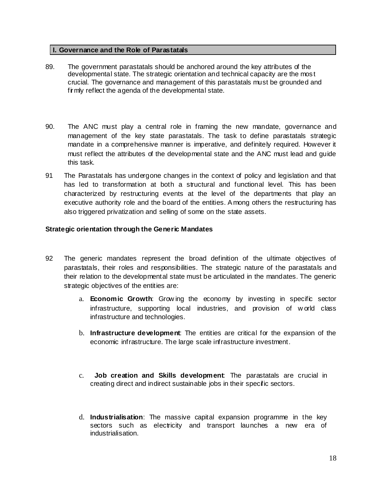#### **I. Governance and the Role of Parastatals**

- 89. The government parastatals should be anchored around the key attributes of the developmental state. The strategic orientation and technical capacity are the most crucial. The governance and management of this parastatals must be grounded and firmly reflect the agenda of the developmental state.
- 90. The ANC must play a central role in framing the new mandate, governance and management of the key state parastatals. The task to define parastatals strategic mandate in a comprehensive manner is imperative, and definitely required. However it must reflect the attributes of the developmental state and the ANC must lead and guide this task.
- 91 The Parastatals has undergone changes in the context of policy and legislation and that has led to transformation at both a structural and functional level. This has been characterized by restructuring events at the level of the departments that play an executive authority role and the board of the entities. A mong others the restructuring has also triggered privatization and selling of some on the state assets.

#### **Strategic orientation through the Generic Mandates**

- 92 The generic mandates represent the broad definition of the ultimate objectives of parastatals, their roles and responsibilities. The strategic nature of the parastatals and their relation to the developmental state must be articulated in the mandates. The generic strategic objectives of the entities are:
	- a. **Economic Growth**: Grow ing the economy by investing in specific sector infrastructure, supporting local industries, and provision of w orld class infrastructure and technologies.
	- b. **Infrastructure development**: The entities are critical for the expansion of the economic infrastructure. The large scale infrastructure investment.
	- c. **Job creation and Skills development**: The parastatals are crucial in creating direct and indirect sustainable jobs in their specific sectors.
	- d. **Industrialisation**: The massive capital expansion programme in the key sectors such as electricity and transport launches a new era of industrialisation.